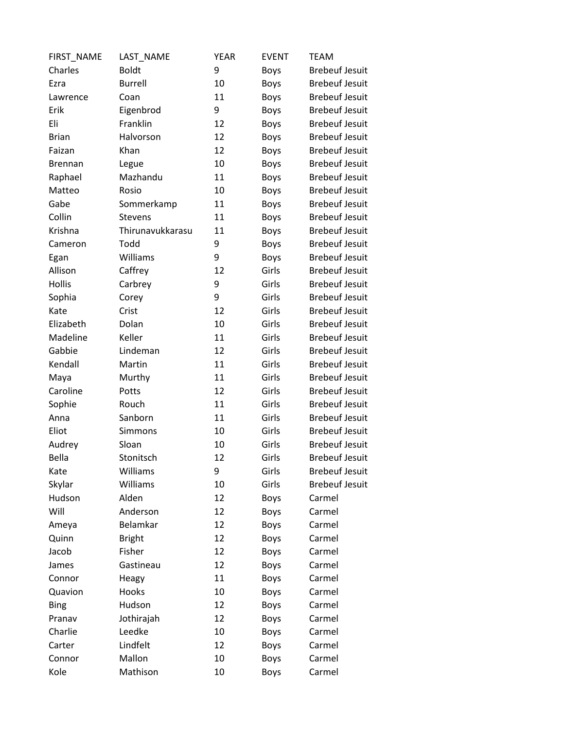| FIRST_NAME     | LAST_NAME        | <b>YEAR</b> | <b>EVENT</b> | <b>TEAM</b>           |
|----------------|------------------|-------------|--------------|-----------------------|
| Charles        | <b>Boldt</b>     | 9           | <b>Boys</b>  | <b>Brebeuf Jesuit</b> |
| Ezra           | <b>Burrell</b>   | 10          | <b>Boys</b>  | <b>Brebeuf Jesuit</b> |
| Lawrence       | Coan             | 11          | <b>Boys</b>  | <b>Brebeuf Jesuit</b> |
| Erik           | Eigenbrod        | 9           | <b>Boys</b>  | <b>Brebeuf Jesuit</b> |
| Eli            | Franklin         | 12          | <b>Boys</b>  | <b>Brebeuf Jesuit</b> |
| <b>Brian</b>   | Halvorson        | 12          | <b>Boys</b>  | <b>Brebeuf Jesuit</b> |
| Faizan         | Khan             | 12          | <b>Boys</b>  | <b>Brebeuf Jesuit</b> |
| <b>Brennan</b> | Legue            | 10          | <b>Boys</b>  | <b>Brebeuf Jesuit</b> |
| Raphael        | Mazhandu         | 11          | <b>Boys</b>  | <b>Brebeuf Jesuit</b> |
| Matteo         | Rosio            | 10          | <b>Boys</b>  | <b>Brebeuf Jesuit</b> |
| Gabe           | Sommerkamp       | 11          | <b>Boys</b>  | <b>Brebeuf Jesuit</b> |
| Collin         | <b>Stevens</b>   | 11          | <b>Boys</b>  | <b>Brebeuf Jesuit</b> |
| Krishna        | Thirunavukkarasu | 11          | <b>Boys</b>  | <b>Brebeuf Jesuit</b> |
| Cameron        | Todd             | 9           | Boys         | <b>Brebeuf Jesuit</b> |
| Egan           | Williams         | 9           | <b>Boys</b>  | <b>Brebeuf Jesuit</b> |
| Allison        | Caffrey          | 12          | Girls        | <b>Brebeuf Jesuit</b> |
| Hollis         | Carbrey          | 9           | Girls        | <b>Brebeuf Jesuit</b> |
| Sophia         | Corey            | 9           | Girls        | <b>Brebeuf Jesuit</b> |
| Kate           | Crist            | 12          | Girls        | <b>Brebeuf Jesuit</b> |
| Elizabeth      | Dolan            | 10          | Girls        | <b>Brebeuf Jesuit</b> |
| Madeline       | Keller           | 11          | Girls        | <b>Brebeuf Jesuit</b> |
| Gabbie         | Lindeman         | 12          | Girls        | <b>Brebeuf Jesuit</b> |
| Kendall        | Martin           | 11          | Girls        | <b>Brebeuf Jesuit</b> |
| Maya           | Murthy           | 11          | Girls        | <b>Brebeuf Jesuit</b> |
| Caroline       | Potts            | 12          | Girls        | <b>Brebeuf Jesuit</b> |
| Sophie         | Rouch            | 11          | Girls        | <b>Brebeuf Jesuit</b> |
| Anna           | Sanborn          | 11          | Girls        | <b>Brebeuf Jesuit</b> |
| Eliot          | Simmons          | 10          | Girls        | <b>Brebeuf Jesuit</b> |
| Audrey         | Sloan            | 10          | Girls        | <b>Brebeuf Jesuit</b> |
| Bella          | Stonitsch        | 12          | Girls        | <b>Brebeuf Jesuit</b> |
| Kate           | Williams         | 9           | Girls        | <b>Brebeuf Jesuit</b> |
| Skylar         | Williams         | 10          | Girls        | <b>Brebeuf Jesuit</b> |
| Hudson         | Alden            | 12          | <b>Boys</b>  | Carmel                |
| Will           | Anderson         | 12          | <b>Boys</b>  | Carmel                |
| Ameya          | Belamkar         | 12          | Boys         | Carmel                |
| Quinn          | <b>Bright</b>    | 12          | <b>Boys</b>  | Carmel                |
| Jacob          | Fisher           | 12          | Boys         | Carmel                |
| James          | Gastineau        | 12          | <b>Boys</b>  | Carmel                |
| Connor         | Heagy            | 11          | Boys         | Carmel                |
| Quavion        | Hooks            | 10          | <b>Boys</b>  | Carmel                |
| <b>Bing</b>    | Hudson           | 12          | Boys         | Carmel                |
| Pranav         | Jothirajah       | 12          | Boys         | Carmel                |
| Charlie        | Leedke           | 10          | <b>Boys</b>  | Carmel                |
| Carter         | Lindfelt         | 12          | Boys         | Carmel                |
| Connor         | Mallon           | 10          | Boys         | Carmel                |
| Kole           | Mathison         | 10          | Boys         | Carmel                |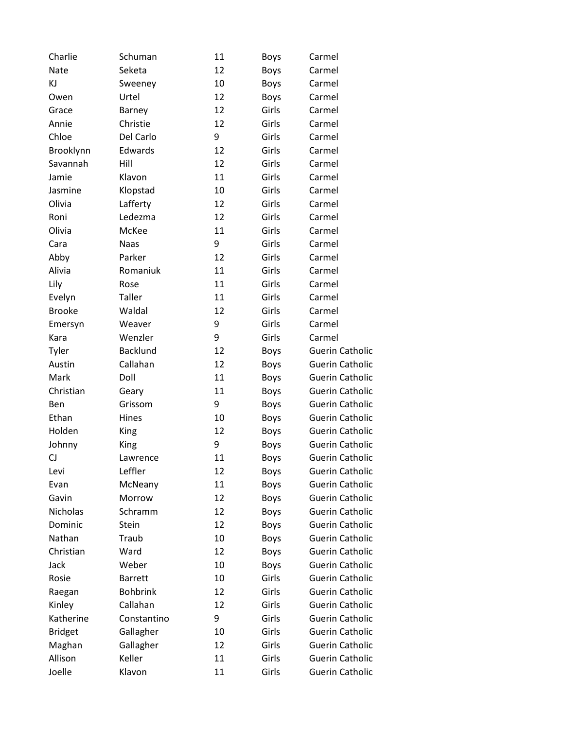| Charlie        | Schuman         | 11 | <b>Boys</b> | Carmel                 |
|----------------|-----------------|----|-------------|------------------------|
| Nate           | Seketa          | 12 | Boys        | Carmel                 |
| KJ             | Sweeney         | 10 | Boys        | Carmel                 |
| Owen           | Urtel           | 12 | <b>Boys</b> | Carmel                 |
| Grace          | Barney          | 12 | Girls       | Carmel                 |
| Annie          | Christie        | 12 | Girls       | Carmel                 |
| Chloe          | Del Carlo       | 9  | Girls       | Carmel                 |
| Brooklynn      | Edwards         | 12 | Girls       | Carmel                 |
| Savannah       | Hill            | 12 | Girls       | Carmel                 |
| Jamie          | Klavon          | 11 | Girls       | Carmel                 |
| Jasmine        | Klopstad        | 10 | Girls       | Carmel                 |
| Olivia         | Lafferty        | 12 | Girls       | Carmel                 |
| Roni           | Ledezma         | 12 | Girls       | Carmel                 |
| Olivia         | McKee           | 11 | Girls       | Carmel                 |
| Cara           | <b>Naas</b>     | 9  | Girls       | Carmel                 |
| Abby           | Parker          | 12 | Girls       | Carmel                 |
| Alivia         | Romaniuk        | 11 | Girls       | Carmel                 |
| Lily           | Rose            | 11 | Girls       | Carmel                 |
| Evelyn         | <b>Taller</b>   | 11 | Girls       | Carmel                 |
| <b>Brooke</b>  | Waldal          | 12 | Girls       | Carmel                 |
| Emersyn        | Weaver          | 9  | Girls       | Carmel                 |
| Kara           | Wenzler         | 9  | Girls       | Carmel                 |
| Tyler          | <b>Backlund</b> | 12 | <b>Boys</b> | <b>Guerin Catholic</b> |
| Austin         | Callahan        | 12 | Boys        | <b>Guerin Catholic</b> |
| Mark           | Doll            | 11 | Boys        | <b>Guerin Catholic</b> |
| Christian      | Geary           | 11 | Boys        | <b>Guerin Catholic</b> |
| Ben            | Grissom         | 9  | <b>Boys</b> | <b>Guerin Catholic</b> |
| Ethan          | Hines           | 10 | Boys        | <b>Guerin Catholic</b> |
| Holden         | King            | 12 | Boys        | <b>Guerin Catholic</b> |
| Johnny         | King            | 9  | <b>Boys</b> | <b>Guerin Catholic</b> |
| CJ             | Lawrence        | 11 | <b>Boys</b> | <b>Guerin Catholic</b> |
| Levi           | Leffler         | 12 | <b>Boys</b> | <b>Guerin Catholic</b> |
| Evan           | McNeany         | 11 | Boys        | <b>Guerin Catholic</b> |
| Gavin          | Morrow          | 12 | <b>Boys</b> | <b>Guerin Catholic</b> |
| Nicholas       | Schramm         | 12 | <b>Boys</b> | <b>Guerin Catholic</b> |
| Dominic        | Stein           | 12 | <b>Boys</b> | <b>Guerin Catholic</b> |
| Nathan         | Traub           | 10 | <b>Boys</b> | <b>Guerin Catholic</b> |
| Christian      | Ward            | 12 | Boys        | <b>Guerin Catholic</b> |
| Jack           | Weber           | 10 | <b>Boys</b> | <b>Guerin Catholic</b> |
| Rosie          | <b>Barrett</b>  | 10 | Girls       | <b>Guerin Catholic</b> |
| Raegan         | <b>Bohbrink</b> | 12 | Girls       | <b>Guerin Catholic</b> |
| Kinley         | Callahan        | 12 | Girls       | <b>Guerin Catholic</b> |
| Katherine      | Constantino     | 9  | Girls       | <b>Guerin Catholic</b> |
| <b>Bridget</b> | Gallagher       | 10 | Girls       | <b>Guerin Catholic</b> |
| Maghan         | Gallagher       | 12 | Girls       | <b>Guerin Catholic</b> |
| Allison        | Keller          | 11 | Girls       | <b>Guerin Catholic</b> |
| Joelle         | Klavon          | 11 | Girls       | <b>Guerin Catholic</b> |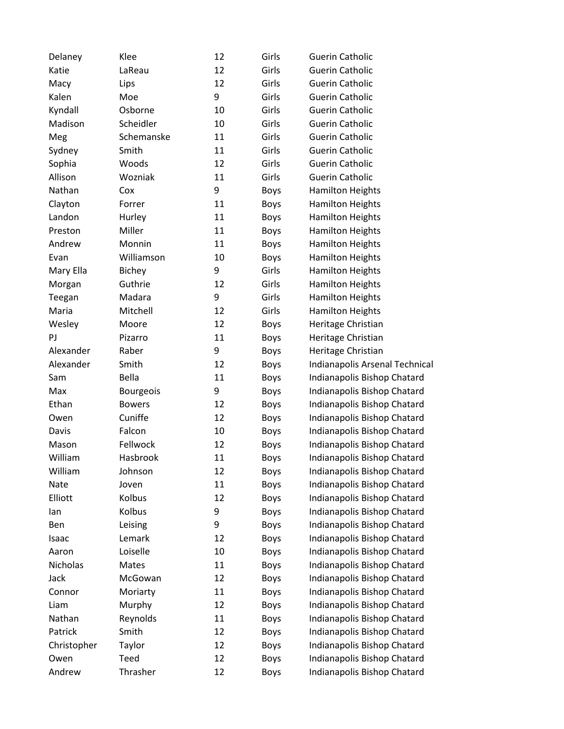| Delaney     | Klee             | 12 | Girls       | <b>Guerin Catholic</b>         |
|-------------|------------------|----|-------------|--------------------------------|
| Katie       | LaReau           | 12 | Girls       | <b>Guerin Catholic</b>         |
| Macy        | Lips             | 12 | Girls       | <b>Guerin Catholic</b>         |
| Kalen       | Moe              | 9  | Girls       | <b>Guerin Catholic</b>         |
| Kyndall     | Osborne          | 10 | Girls       | <b>Guerin Catholic</b>         |
| Madison     | Scheidler        | 10 | Girls       | <b>Guerin Catholic</b>         |
| Meg         | Schemanske       | 11 | Girls       | <b>Guerin Catholic</b>         |
| Sydney      | Smith            | 11 | Girls       | <b>Guerin Catholic</b>         |
| Sophia      | Woods            | 12 | Girls       | <b>Guerin Catholic</b>         |
| Allison     | Wozniak          | 11 | Girls       | <b>Guerin Catholic</b>         |
| Nathan      | Cox              | 9  | <b>Boys</b> | <b>Hamilton Heights</b>        |
| Clayton     | Forrer           | 11 | <b>Boys</b> | <b>Hamilton Heights</b>        |
| Landon      | Hurley           | 11 | Boys        | <b>Hamilton Heights</b>        |
| Preston     | Miller           | 11 | <b>Boys</b> | <b>Hamilton Heights</b>        |
| Andrew      | Monnin           | 11 | <b>Boys</b> | <b>Hamilton Heights</b>        |
| Evan        | Williamson       | 10 | <b>Boys</b> | <b>Hamilton Heights</b>        |
| Mary Ella   | <b>Bichey</b>    | 9  | Girls       | <b>Hamilton Heights</b>        |
| Morgan      | Guthrie          | 12 | Girls       | <b>Hamilton Heights</b>        |
| Teegan      | Madara           | 9  | Girls       | <b>Hamilton Heights</b>        |
| Maria       | Mitchell         | 12 | Girls       | <b>Hamilton Heights</b>        |
| Wesley      | Moore            | 12 | Boys        | Heritage Christian             |
| PJ          | Pizarro          | 11 | <b>Boys</b> | Heritage Christian             |
| Alexander   | Raber            | 9  | <b>Boys</b> | Heritage Christian             |
| Alexander   | Smith            | 12 | <b>Boys</b> | Indianapolis Arsenal Technical |
| Sam         | Bella            | 11 | <b>Boys</b> | Indianapolis Bishop Chatard    |
| Max         | <b>Bourgeois</b> | 9  | <b>Boys</b> | Indianapolis Bishop Chatard    |
| Ethan       | <b>Bowers</b>    | 12 | <b>Boys</b> | Indianapolis Bishop Chatard    |
| Owen        | Cuniffe          | 12 | <b>Boys</b> | Indianapolis Bishop Chatard    |
| Davis       | Falcon           | 10 | <b>Boys</b> | Indianapolis Bishop Chatard    |
| Mason       | Fellwock         | 12 | <b>Boys</b> | Indianapolis Bishop Chatard    |
| William     | Hasbrook         | 11 | <b>Boys</b> | Indianapolis Bishop Chatard    |
| William     | Johnson          | 12 | <b>Boys</b> | Indianapolis Bishop Chatard    |
| Nate        | Joven            | 11 | <b>Boys</b> | Indianapolis Bishop Chatard    |
| Elliott     | Kolbus           | 12 | <b>Boys</b> | Indianapolis Bishop Chatard    |
| lan         | Kolbus           | 9  | <b>Boys</b> | Indianapolis Bishop Chatard    |
| Ben         | Leising          | 9  | <b>Boys</b> | Indianapolis Bishop Chatard    |
| Isaac       | Lemark           | 12 | <b>Boys</b> | Indianapolis Bishop Chatard    |
| Aaron       | Loiselle         | 10 | <b>Boys</b> | Indianapolis Bishop Chatard    |
| Nicholas    | Mates            | 11 | <b>Boys</b> | Indianapolis Bishop Chatard    |
| Jack        | McGowan          | 12 | <b>Boys</b> | Indianapolis Bishop Chatard    |
| Connor      | Moriarty         | 11 | <b>Boys</b> | Indianapolis Bishop Chatard    |
| Liam        | Murphy           | 12 | <b>Boys</b> | Indianapolis Bishop Chatard    |
| Nathan      | Reynolds         | 11 | <b>Boys</b> | Indianapolis Bishop Chatard    |
| Patrick     | Smith            | 12 | <b>Boys</b> | Indianapolis Bishop Chatard    |
| Christopher | Taylor           | 12 | <b>Boys</b> | Indianapolis Bishop Chatard    |
| Owen        | Teed             | 12 | <b>Boys</b> | Indianapolis Bishop Chatard    |
| Andrew      | Thrasher         | 12 | <b>Boys</b> | Indianapolis Bishop Chatard    |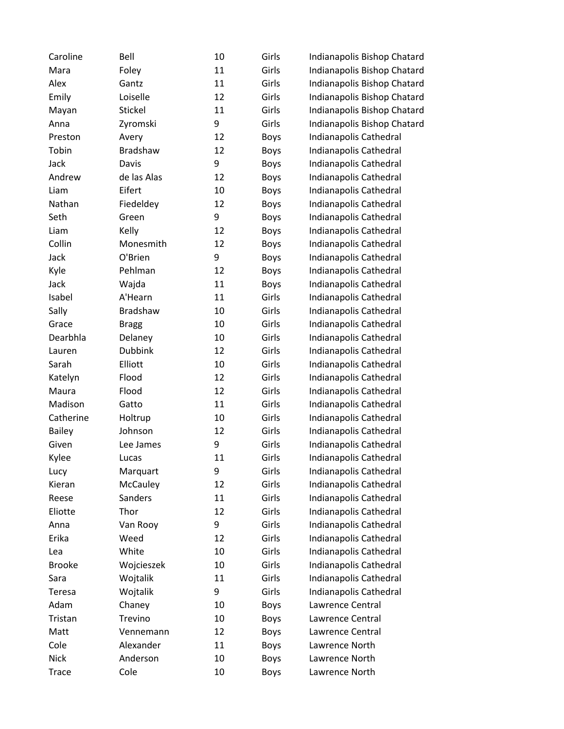| Caroline      | Bell            | 10 | Girls       | Indianapolis Bishop Chatard |
|---------------|-----------------|----|-------------|-----------------------------|
| Mara          | Foley           | 11 | Girls       | Indianapolis Bishop Chatard |
| Alex          | Gantz           | 11 | Girls       | Indianapolis Bishop Chatard |
| Emily         | Loiselle        | 12 | Girls       | Indianapolis Bishop Chatard |
| Mayan         | Stickel         | 11 | Girls       | Indianapolis Bishop Chatard |
| Anna          | Zyromski        | 9  | Girls       | Indianapolis Bishop Chatard |
| Preston       | Avery           | 12 | Boys        | Indianapolis Cathedral      |
| Tobin         | <b>Bradshaw</b> | 12 | <b>Boys</b> | Indianapolis Cathedral      |
| Jack          | Davis           | 9  | Boys        | Indianapolis Cathedral      |
| Andrew        | de las Alas     | 12 | <b>Boys</b> | Indianapolis Cathedral      |
| Liam          | Eifert          | 10 | <b>Boys</b> | Indianapolis Cathedral      |
| Nathan        | Fiedeldey       | 12 | Boys        | Indianapolis Cathedral      |
| Seth          | Green           | 9  | <b>Boys</b> | Indianapolis Cathedral      |
| Liam          | Kelly           | 12 | Boys        | Indianapolis Cathedral      |
| Collin        | Monesmith       | 12 | Boys        | Indianapolis Cathedral      |
| Jack          | O'Brien         | 9  | Boys        | Indianapolis Cathedral      |
| Kyle          | Pehlman         | 12 | <b>Boys</b> | Indianapolis Cathedral      |
| Jack          | Wajda           | 11 | <b>Boys</b> | Indianapolis Cathedral      |
| Isabel        | A'Hearn         | 11 | Girls       | Indianapolis Cathedral      |
| Sally         | <b>Bradshaw</b> | 10 | Girls       | Indianapolis Cathedral      |
| Grace         | <b>Bragg</b>    | 10 | Girls       | Indianapolis Cathedral      |
| Dearbhla      | Delaney         | 10 | Girls       | Indianapolis Cathedral      |
| Lauren        | <b>Dubbink</b>  | 12 | Girls       | Indianapolis Cathedral      |
| Sarah         | Elliott         | 10 | Girls       | Indianapolis Cathedral      |
| Katelyn       | Flood           | 12 | Girls       | Indianapolis Cathedral      |
| Maura         | Flood           | 12 | Girls       | Indianapolis Cathedral      |
| Madison       | Gatto           | 11 | Girls       | Indianapolis Cathedral      |
| Catherine     | Holtrup         | 10 | Girls       | Indianapolis Cathedral      |
| <b>Bailey</b> | Johnson         | 12 | Girls       | Indianapolis Cathedral      |
| Given         | Lee James       | 9  | Girls       | Indianapolis Cathedral      |
| Kylee         | Lucas           | 11 | Girls       | Indianapolis Cathedral      |
| Lucy          | Marquart        | 9  | Girls       | Indianapolis Cathedral      |
| Kieran        | <b>McCauley</b> | 12 | Girls       | Indianapolis Cathedral      |
| Reese         | Sanders         | 11 | Girls       | Indianapolis Cathedral      |
| Eliotte       | Thor            | 12 | Girls       | Indianapolis Cathedral      |
| Anna          | Van Rooy        | 9  | Girls       | Indianapolis Cathedral      |
| Erika         | Weed            | 12 | Girls       | Indianapolis Cathedral      |
| Lea           | White           | 10 | Girls       | Indianapolis Cathedral      |
| <b>Brooke</b> | Wojcieszek      | 10 | Girls       | Indianapolis Cathedral      |
| Sara          | Wojtalik        | 11 | Girls       | Indianapolis Cathedral      |
| Teresa        | Wojtalik        | 9  | Girls       | Indianapolis Cathedral      |
| Adam          | Chaney          | 10 | <b>Boys</b> | Lawrence Central            |
| Tristan       | Trevino         | 10 | Boys        | Lawrence Central            |
| Matt          | Vennemann       | 12 | Boys        | Lawrence Central            |
| Cole          | Alexander       | 11 | Boys        | Lawrence North              |
| <b>Nick</b>   | Anderson        | 10 | Boys        | Lawrence North              |
| <b>Trace</b>  | Cole            | 10 | Boys        | Lawrence North              |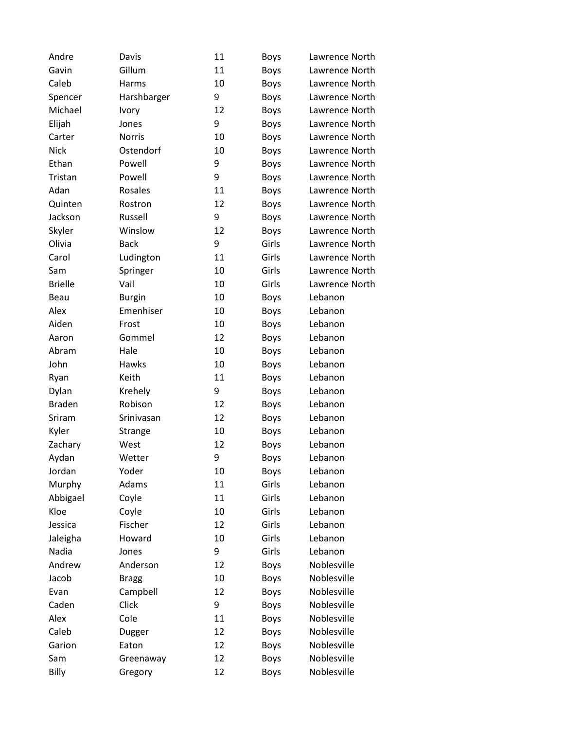| Andre          | Davis         | 11 | <b>Boys</b> | Lawrence North |
|----------------|---------------|----|-------------|----------------|
| Gavin          | Gillum        | 11 | <b>Boys</b> | Lawrence North |
| Caleb          | Harms         | 10 | <b>Boys</b> | Lawrence North |
| Spencer        | Harshbarger   | 9  | <b>Boys</b> | Lawrence North |
| Michael        | Ivory         | 12 | <b>Boys</b> | Lawrence North |
| Elijah         | Jones         | 9  | <b>Boys</b> | Lawrence North |
| Carter         | Norris        | 10 | <b>Boys</b> | Lawrence North |
| <b>Nick</b>    | Ostendorf     | 10 | <b>Boys</b> | Lawrence North |
| Ethan          | Powell        | 9  | <b>Boys</b> | Lawrence North |
| Tristan        | Powell        | 9  | <b>Boys</b> | Lawrence North |
| Adan           | Rosales       | 11 | <b>Boys</b> | Lawrence North |
| Quinten        | Rostron       | 12 | <b>Boys</b> | Lawrence North |
| Jackson        | Russell       | 9  | <b>Boys</b> | Lawrence North |
| Skyler         | Winslow       | 12 | <b>Boys</b> | Lawrence North |
| Olivia         | <b>Back</b>   | 9  | Girls       | Lawrence North |
| Carol          | Ludington     | 11 | Girls       | Lawrence North |
| Sam            | Springer      | 10 | Girls       | Lawrence North |
| <b>Brielle</b> | Vail          | 10 | Girls       | Lawrence North |
| Beau           | <b>Burgin</b> | 10 | <b>Boys</b> | Lebanon        |
| Alex           | Emenhiser     | 10 | <b>Boys</b> | Lebanon        |
| Aiden          | Frost         | 10 | <b>Boys</b> | Lebanon        |
| Aaron          | Gommel        | 12 | <b>Boys</b> | Lebanon        |
| Abram          | Hale          | 10 | <b>Boys</b> | Lebanon        |
| John           | Hawks         | 10 | <b>Boys</b> | Lebanon        |
| Ryan           | Keith         | 11 | <b>Boys</b> | Lebanon        |
| Dylan          | Krehely       | 9  | <b>Boys</b> | Lebanon        |
| <b>Braden</b>  | Robison       | 12 | <b>Boys</b> | Lebanon        |
| Sriram         | Srinivasan    | 12 | <b>Boys</b> | Lebanon        |
| Kyler          | Strange       | 10 | <b>Boys</b> | Lebanon        |
| Zachary        | West          | 12 | <b>Boys</b> | Lebanon        |
| Aydan          | Wetter        | 9  | <b>Boys</b> | Lebanon        |
| Jordan         | Yoder         | 10 | <b>Boys</b> | Lebanon        |
| Murphy         | Adams         | 11 | Girls       | Lebanon        |
| Abbigael       | Coyle         | 11 | Girls       | Lebanon        |
| Kloe           | Coyle         | 10 | Girls       | Lebanon        |
| Jessica        | Fischer       | 12 | Girls       | Lebanon        |
| Jaleigha       | Howard        | 10 | Girls       | Lebanon        |
| Nadia          | Jones         | 9  | Girls       | Lebanon        |
| Andrew         | Anderson      | 12 | <b>Boys</b> | Noblesville    |
| Jacob          | <b>Bragg</b>  | 10 | <b>Boys</b> | Noblesville    |
| Evan           | Campbell      | 12 | <b>Boys</b> | Noblesville    |
| Caden          | Click         | 9  | <b>Boys</b> | Noblesville    |
| Alex           | Cole          | 11 | <b>Boys</b> | Noblesville    |
| Caleb          | Dugger        | 12 | <b>Boys</b> | Noblesville    |
| Garion         | Eaton         | 12 | <b>Boys</b> | Noblesville    |
| Sam            | Greenaway     | 12 | <b>Boys</b> | Noblesville    |
| Billy          | Gregory       | 12 | <b>Boys</b> | Noblesville    |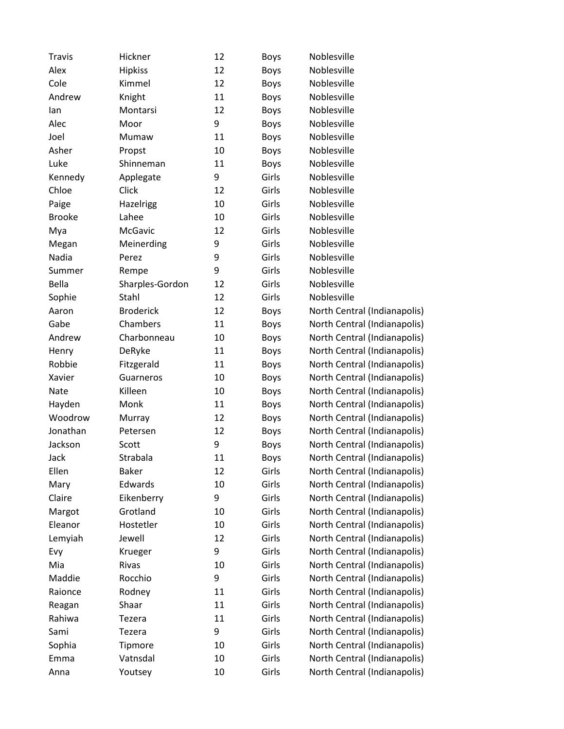| Travis        | Hickner          | 12     | <b>Boys</b> | Noblesville                  |
|---------------|------------------|--------|-------------|------------------------------|
| Alex          | <b>Hipkiss</b>   | 12     | <b>Boys</b> | Noblesville                  |
| Cole          | Kimmel           | 12     | <b>Boys</b> | Noblesville                  |
| Andrew        | Knight           | 11     | <b>Boys</b> | Noblesville                  |
| lan           | Montarsi         | 12     | <b>Boys</b> | Noblesville                  |
| Alec          | Moor             | 9      | <b>Boys</b> | Noblesville                  |
| Joel          | Mumaw            | 11     | <b>Boys</b> | Noblesville                  |
| Asher         | Propst           | 10     | <b>Boys</b> | Noblesville                  |
| Luke          | Shinneman        | 11     | <b>Boys</b> | Noblesville                  |
| Kennedy       | Applegate        | 9      | Girls       | Noblesville                  |
| Chloe         | Click            | 12     | Girls       | Noblesville                  |
| Paige         | Hazelrigg        | 10     | Girls       | Noblesville                  |
| <b>Brooke</b> | Lahee            | 10     | Girls       | Noblesville                  |
| Mya           | McGavic          | 12     | Girls       | Noblesville                  |
| Megan         | Meinerding       | 9      | Girls       | Noblesville                  |
| Nadia         | Perez            | 9      | Girls       | Noblesville                  |
| Summer        | Rempe            | 9      | Girls       | Noblesville                  |
| Bella         | Sharples-Gordon  | 12     | Girls       | Noblesville                  |
| Sophie        | Stahl            | 12     | Girls       | Noblesville                  |
| Aaron         | <b>Broderick</b> | 12     | <b>Boys</b> | North Central (Indianapolis) |
| Gabe          | Chambers         | 11     | <b>Boys</b> | North Central (Indianapolis) |
| Andrew        | Charbonneau      | 10     | <b>Boys</b> | North Central (Indianapolis) |
| Henry         | DeRyke           | 11     | <b>Boys</b> | North Central (Indianapolis) |
| Robbie        | Fitzgerald       | $11\,$ | <b>Boys</b> | North Central (Indianapolis) |
| Xavier        | Guarneros        | 10     | <b>Boys</b> | North Central (Indianapolis) |
| Nate          | Killeen          | 10     | <b>Boys</b> | North Central (Indianapolis) |
| Hayden        | Monk             | 11     | <b>Boys</b> | North Central (Indianapolis) |
| Woodrow       | Murray           | 12     | <b>Boys</b> | North Central (Indianapolis) |
| Jonathan      | Petersen         | 12     | <b>Boys</b> | North Central (Indianapolis) |
| Jackson       | Scott            | 9      | <b>Boys</b> | North Central (Indianapolis) |
| Jack          | Strabala         | 11     | <b>Boys</b> | North Central (Indianapolis) |
| Ellen         | <b>Baker</b>     | 12     | Girls       | North Central (Indianapolis) |
| Mary          | Edwards          | 10     | Girls       | North Central (Indianapolis) |
| Claire        | Eikenberry       | 9      | Girls       | North Central (Indianapolis) |
| Margot        | Grotland         | 10     | Girls       | North Central (Indianapolis) |
| Eleanor       | Hostetler        | 10     | Girls       | North Central (Indianapolis) |
| Lemyiah       | Jewell           | 12     | Girls       | North Central (Indianapolis) |
| Evy           | Krueger          | 9      | Girls       | North Central (Indianapolis) |
| Mia           | Rivas            | 10     | Girls       | North Central (Indianapolis) |
| Maddie        | Rocchio          | 9      | Girls       | North Central (Indianapolis) |
| Raionce       | Rodney           | 11     | Girls       | North Central (Indianapolis) |
| Reagan        | Shaar            | 11     | Girls       | North Central (Indianapolis) |
| Rahiwa        | Tezera           | 11     | Girls       | North Central (Indianapolis) |
| Sami          | Tezera           | 9      | Girls       | North Central (Indianapolis) |
| Sophia        | Tipmore          | 10     | Girls       | North Central (Indianapolis) |
| Emma          | Vatnsdal         | 10     | Girls       | North Central (Indianapolis) |
| Anna          | Youtsey          | 10     | Girls       | North Central (Indianapolis) |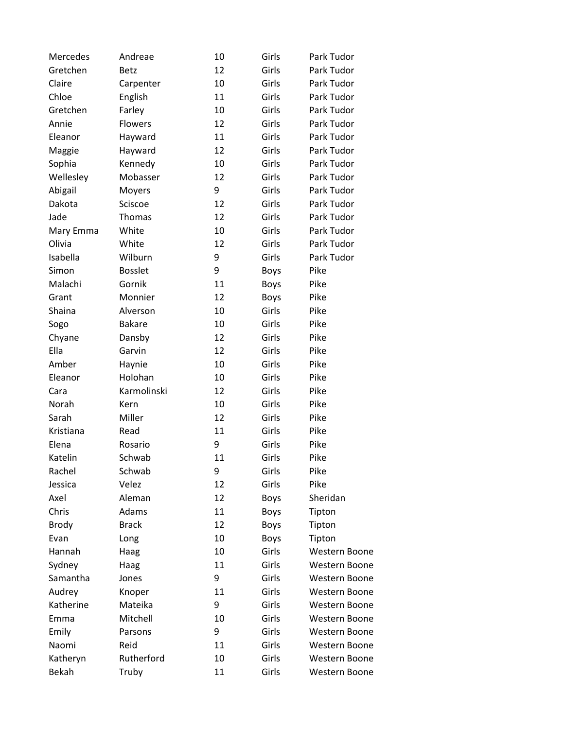| Mercedes     | Andreae        | 10 | Girls       | Park Tudor           |
|--------------|----------------|----|-------------|----------------------|
| Gretchen     | <b>Betz</b>    | 12 | Girls       | Park Tudor           |
| Claire       | Carpenter      | 10 | Girls       | Park Tudor           |
| Chloe        | English        | 11 | Girls       | Park Tudor           |
| Gretchen     | Farley         | 10 | Girls       | Park Tudor           |
| Annie        | Flowers        | 12 | Girls       | Park Tudor           |
| Eleanor      | Hayward        | 11 | Girls       | Park Tudor           |
| Maggie       | Hayward        | 12 | Girls       | Park Tudor           |
| Sophia       | Kennedy        | 10 | Girls       | Park Tudor           |
| Wellesley    | Mobasser       | 12 | Girls       | Park Tudor           |
| Abigail      | Moyers         | 9  | Girls       | Park Tudor           |
| Dakota       | Sciscoe        | 12 | Girls       | Park Tudor           |
| Jade         | Thomas         | 12 | Girls       | Park Tudor           |
| Mary Emma    | White          | 10 | Girls       | Park Tudor           |
| Olivia       | White          | 12 | Girls       | Park Tudor           |
| Isabella     | Wilburn        | 9  | Girls       | Park Tudor           |
| Simon        | <b>Bosslet</b> | 9  | <b>Boys</b> | Pike                 |
| Malachi      | Gornik         | 11 | <b>Boys</b> | Pike                 |
| Grant        | Monnier        | 12 | <b>Boys</b> | Pike                 |
| Shaina       | Alverson       | 10 | Girls       | Pike                 |
| Sogo         | <b>Bakare</b>  | 10 | Girls       | Pike                 |
| Chyane       | Dansby         | 12 | Girls       | Pike                 |
| Ella         | Garvin         | 12 | Girls       | Pike                 |
| Amber        | Haynie         | 10 | Girls       | Pike                 |
| Eleanor      | Holohan        | 10 | Girls       | Pike                 |
| Cara         | Karmolinski    | 12 | Girls       | Pike                 |
| Norah        | Kern           | 10 | Girls       | Pike                 |
| Sarah        | Miller         | 12 | Girls       | Pike                 |
| Kristiana    | Read           | 11 | Girls       | Pike                 |
| Elena        | Rosario        | 9  | Girls       | Pike                 |
| Katelin      | Schwab         | 11 | Girls       | Pike                 |
| Rachel       | Schwab         | 9  | Girls       | Pike                 |
| Jessica      | Velez          | 12 | Girls       | Pike                 |
| Axel         | Aleman         | 12 | <b>Boys</b> | Sheridan             |
| Chris        | Adams          | 11 | <b>Boys</b> | Tipton               |
| <b>Brody</b> | <b>Brack</b>   | 12 | <b>Boys</b> | Tipton               |
| Evan         | Long           | 10 | <b>Boys</b> | Tipton               |
| Hannah       | Haag           | 10 | Girls       | Western Boone        |
| Sydney       | Haag           | 11 | Girls       | Western Boone        |
| Samantha     | Jones          | 9  | Girls       | Western Boone        |
| Audrey       | Knoper         | 11 | Girls       | <b>Western Boone</b> |
| Katherine    | Mateika        | 9  | Girls       | Western Boone        |
| Emma         | Mitchell       | 10 | Girls       | Western Boone        |
| Emily        | Parsons        | 9  | Girls       | Western Boone        |
| Naomi        | Reid           | 11 | Girls       | Western Boone        |
| Katheryn     | Rutherford     | 10 | Girls       | Western Boone        |
| Bekah        | Truby          | 11 | Girls       | Western Boone        |
|              |                |    |             |                      |